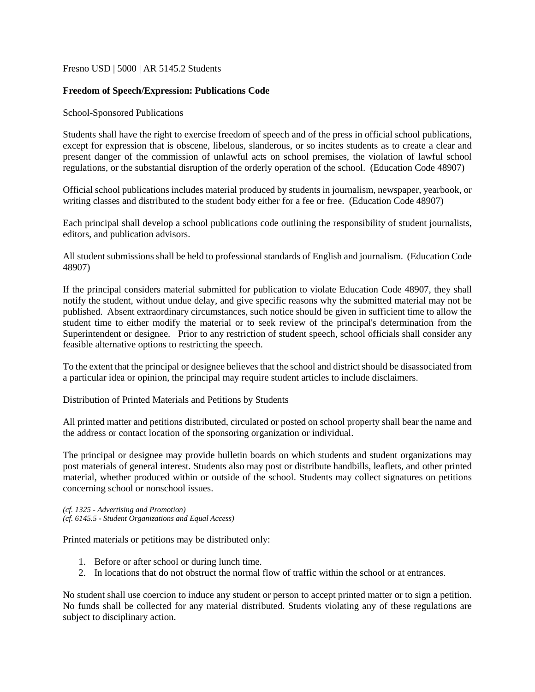Fresno USD | 5000 | AR 5145.2 Students

## **Freedom of Speech/Expression: Publications Code**

School-Sponsored Publications

Students shall have the right to exercise freedom of speech and of the press in official school publications, except for expression that is obscene, libelous, slanderous, or so incites students as to create a clear and present danger of the commission of unlawful acts on school premises, the violation of lawful school regulations, or the substantial disruption of the orderly operation of the school. (Education Code 48907)

Official school publications includes material produced by students in journalism, newspaper, yearbook, or writing classes and distributed to the student body either for a fee or free. (Education Code 48907)

Each principal shall develop a school publications code outlining the responsibility of student journalists, editors, and publication advisors.

All student submissions shall be held to professional standards of English and journalism. (Education Code 48907)

If the principal considers material submitted for publication to violate Education Code 48907, they shall notify the student, without undue delay, and give specific reasons why the submitted material may not be published. Absent extraordinary circumstances, such notice should be given in sufficient time to allow the student time to either modify the material or to seek review of the principal's determination from the Superintendent or designee. Prior to any restriction of student speech, school officials shall consider any feasible alternative options to restricting the speech.

To the extent that the principal or designee believes that the school and district should be disassociated from a particular idea or opinion, the principal may require student articles to include disclaimers.

Distribution of Printed Materials and Petitions by Students

All printed matter and petitions distributed, circulated or posted on school property shall bear the name and the address or contact location of the sponsoring organization or individual.

The principal or designee may provide bulletin boards on which students and student organizations may post materials of general interest. Students also may post or distribute handbills, leaflets, and other printed material, whether produced within or outside of the school. Students may collect signatures on petitions concerning school or nonschool issues.

*(cf. 1325 - Advertising and Promotion) (cf. 6145.5 - Student Organizations and Equal Access)*

Printed materials or petitions may be distributed only:

- 1. Before or after school or during lunch time.
- 2. In locations that do not obstruct the normal flow of traffic within the school or at entrances.

No student shall use coercion to induce any student or person to accept printed matter or to sign a petition. No funds shall be collected for any material distributed. Students violating any of these regulations are subject to disciplinary action.